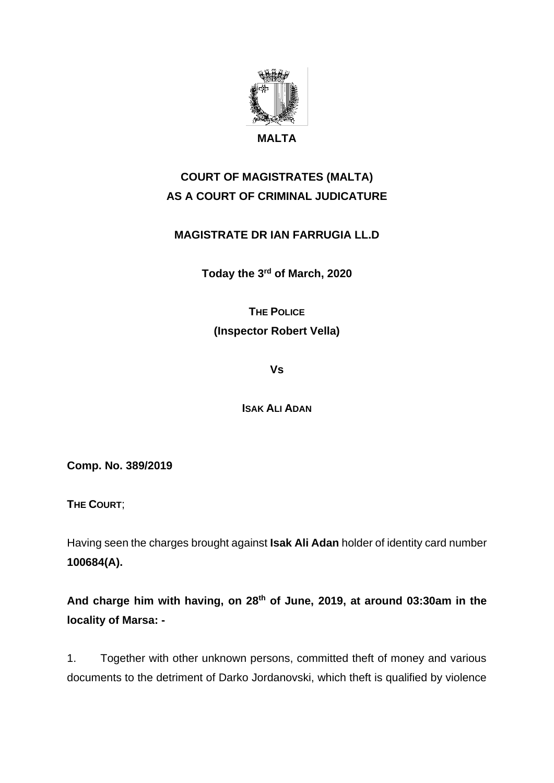

# **COURT OF MAGISTRATES (MALTA) AS A COURT OF CRIMINAL JUDICATURE**

### **MAGISTRATE DR IAN FARRUGIA LL.D**

**Today the 3rd of March, 2020**

## **THE POLICE (Inspector Robert Vella)**

**Vs**

**ISAK ALI ADAN**

**Comp. No. 389/2019**

**THE COURT**;

Having seen the charges brought against **Isak Ali Adan** holder of identity card number **100684(A).**

**And charge him with having, on 28th of June, 2019, at around 03:30am in the locality of Marsa: -** 

1. Together with other unknown persons, committed theft of money and various documents to the detriment of Darko Jordanovski, which theft is qualified by violence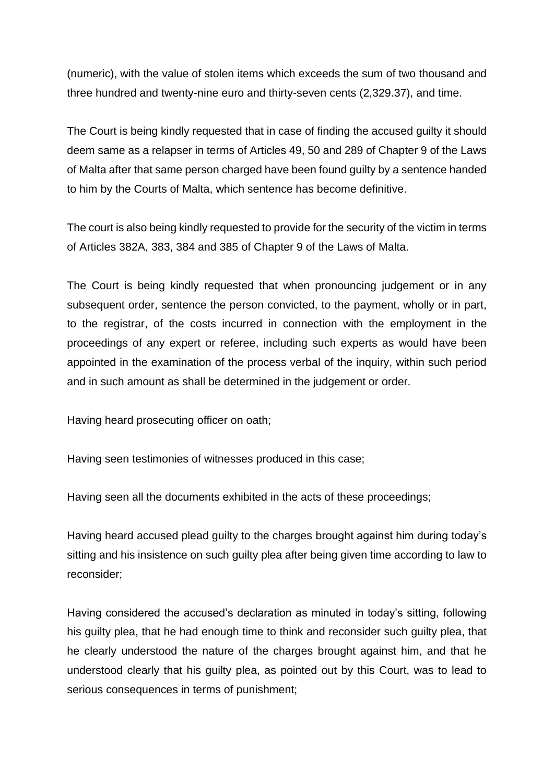(numeric), with the value of stolen items which exceeds the sum of two thousand and three hundred and twenty-nine euro and thirty-seven cents (2,329.37), and time.

The Court is being kindly requested that in case of finding the accused guilty it should deem same as a relapser in terms of Articles 49, 50 and 289 of Chapter 9 of the Laws of Malta after that same person charged have been found guilty by a sentence handed to him by the Courts of Malta, which sentence has become definitive.

The court is also being kindly requested to provide for the security of the victim in terms of Articles 382A, 383, 384 and 385 of Chapter 9 of the Laws of Malta.

The Court is being kindly requested that when pronouncing judgement or in any subsequent order, sentence the person convicted, to the payment, wholly or in part, to the registrar, of the costs incurred in connection with the employment in the proceedings of any expert or referee, including such experts as would have been appointed in the examination of the process verbal of the inquiry, within such period and in such amount as shall be determined in the judgement or order.

Having heard prosecuting officer on oath;

Having seen testimonies of witnesses produced in this case;

Having seen all the documents exhibited in the acts of these proceedings;

Having heard accused plead guilty to the charges brought against him during today's sitting and his insistence on such guilty plea after being given time according to law to reconsider;

Having considered the accused's declaration as minuted in today's sitting, following his guilty plea, that he had enough time to think and reconsider such guilty plea, that he clearly understood the nature of the charges brought against him, and that he understood clearly that his guilty plea, as pointed out by this Court, was to lead to serious consequences in terms of punishment;